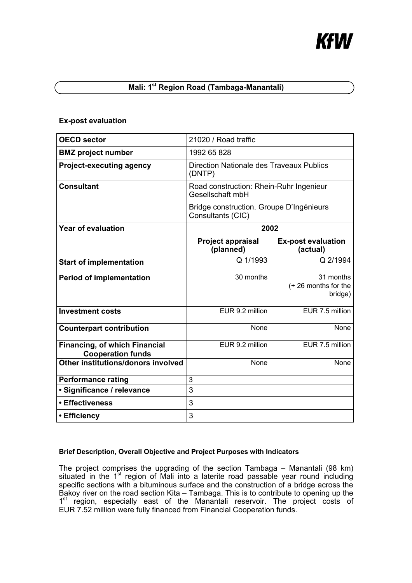# KfW

# **Mali: 1st Region Road (Tambaga-Manantali)**

## **Ex-post evaluation**

| <b>OECD sector</b>                                               | 21020 / Road traffic                                          |                                             |
|------------------------------------------------------------------|---------------------------------------------------------------|---------------------------------------------|
| <b>BMZ</b> project number                                        | 1992 65 828                                                   |                                             |
| <b>Project-executing agency</b>                                  | <b>Direction Nationale des Traveaux Publics</b><br>(DNTP)     |                                             |
| <b>Consultant</b>                                                | Road construction: Rhein-Ruhr Ingenieur<br>Gesellschaft mbH   |                                             |
|                                                                  | Bridge construction. Groupe D'Ingénieurs<br>Consultants (CIC) |                                             |
| <b>Year of evaluation</b>                                        | 2002                                                          |                                             |
|                                                                  | <b>Project appraisal</b><br>(planned)                         | <b>Ex-post evaluation</b><br>(actual)       |
| <b>Start of implementation</b>                                   | Q 1/1993                                                      | Q 2/1994                                    |
| <b>Period of implementation</b>                                  | 30 months                                                     | 31 months<br>(+26 months for the<br>bridge) |
| <b>Investment costs</b>                                          | EUR 9.2 million                                               | EUR 7.5 million                             |
| <b>Counterpart contribution</b>                                  | None                                                          | None                                        |
| <b>Financing, of which Financial</b><br><b>Cooperation funds</b> | EUR 9.2 million                                               | EUR 7.5 million                             |
| Other institutions/donors involved                               | None                                                          | None                                        |
| <b>Performance rating</b>                                        | 3                                                             |                                             |
| · Significance / relevance                                       | 3                                                             |                                             |
| • Effectiveness                                                  | 3                                                             |                                             |
| • Efficiency                                                     | 3                                                             |                                             |

## **Brief Description, Overall Objective and Project Purposes with Indicators**

The project comprises the upgrading of the section Tambaga – Manantali (98 km) situated in the  $1<sup>st</sup>$  region of Mali into a laterite road passable year round including specific sections with a bituminous surface and the construction of a bridge across the Bakoy river on the road section Kita – Tambaga. This is to contribute to opening up the 1<sup>st</sup> region, especially east of the Manantali reservoir. The project costs of EUR 7.52 million were fully financed from Financial Cooperation funds.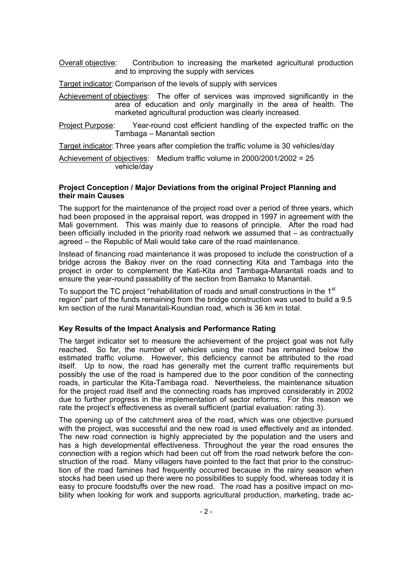Overall objective: Contribution to increasing the marketed agricultural production and to improving the supply with services

Target indicator: Comparison of the levels of supply with services

Achievement of objectives: The offer of services was improved significantly in the area of education and only marginally in the area of health. The marketed agricultural production was clearly increased.

Project Purpose: Year-round cost efficient handling of the expected traffic on the Tambaga – Manantali section

Target indicator: Three years after completion the traffic volume is 30 vehicles/day

Achievement of objectives: Medium traffic volume in 2000/2001/2002 = 25 vehicle/day

#### **Project Conception / Major Deviations from the original Project Planning and their main Causes**

The support for the maintenance of the project road over a period of three years, which had been proposed in the appraisal report, was dropped in 1997 in agreement with the Mali government. This was mainly due to reasons of principle. After the road had been officially included in the priority road network we assumed that – as contractually agreed – the Republic of Mali would take care of the road maintenance.

Instead of financing road maintenance it was proposed to include the construction of a bridge across the Bakoy river on the road connecting Kita and Tambaga into the project in order to complement the Kati-Kita and Tambaga-Manantali roads and to ensure the year-round passability of the section from Bamako to Manantali.

To support the TC project "rehabilitation of roads and small constructions in the 1<sup>st</sup> region" part of the funds remaining from the bridge construction was used to build a 9.5 km section of the rural Manantali-Koundian road, which is 36 km in total.

### **Key Results of the Impact Analysis and Performance Rating**

The target indicator set to measure the achievement of the project goal was not fully reached. So far, the number of vehicles using the road has remained below the estimated traffic volume. However, this deficiency cannot be attributed to the road itself. Up to now, the road has generally met the current traffic requirements but possibly the use of the road is hampered due to the poor condition of the connecting roads, in particular the Kita-Tambaga road. Nevertheless, the maintenance situation for the project road itself and the connecting roads has improved considerably in 2002 due to further progress in the implementation of sector reforms. For this reason we rate the project's effectiveness as overall sufficient (partial evaluation: rating 3).

The opening up of the catchment area of the road, which was one objective pursued with the project, was successful and the new road is used effectively and as intended. The new road connection is highly appreciated by the population and the users and has a high developmental effectiveness. Throughout the year the road ensures the connection with a region which had been cut off from the road network before the construction of the road. Many villagers have pointed to the fact that prior to the construction of the road famines had frequently occurred because in the rainy season when stocks had been used up there were no possibilities to supply food, whereas today it is easy to procure foodstuffs over the new road. The road has a positive impact on mobility when looking for work and supports agricultural production, marketing, trade ac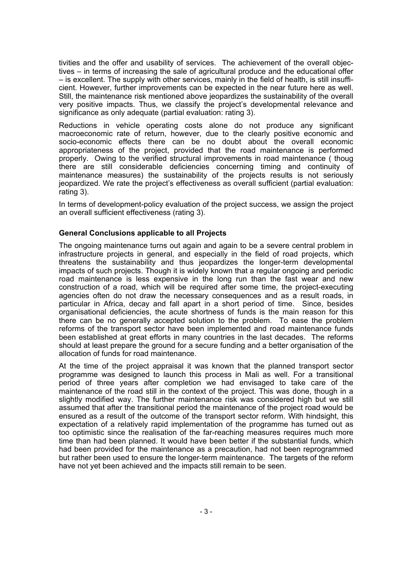tivities and the offer and usability of services. The achievement of the overall objectives – in terms of increasing the sale of agricultural produce and the educational offer – is excellent. The supply with other services, mainly in the field of health, is still insufficient. However, further improvements can be expected in the near future here as well. Still, the maintenance risk mentioned above jeopardizes the sustainability of the overall very positive impacts. Thus, we classify the project's developmental relevance and significance as only adequate (partial evaluation: rating 3).

Reductions in vehicle operating costs alone do not produce any significant macroeconomic rate of return, however, due to the clearly positive economic and socio-economic effects there can be no doubt about the overall economic appropriateness of the project, provided that the road maintenance is performed properly. Owing to the verified structural improvements in road maintenance ( thoug there are still considerable deficiencies concerning timing and continuity of maintenance measures) the sustainability of the projects results is not seriously jeopardized. We rate the project's effectiveness as overall sufficient (partial evaluation: rating 3).

In terms of development-policy evaluation of the project success, we assign the project an overall sufficient effectiveness (rating 3).

## **General Conclusions applicable to all Projects**

The ongoing maintenance turns out again and again to be a severe central problem in infrastructure projects in general, and especially in the field of road projects, which threatens the sustainability and thus jeopardizes the longer-term developmental impacts of such projects. Though it is widely known that a regular ongoing and periodic road maintenance is less expensive in the long run than the fast wear and new construction of a road, which will be required after some time, the project-executing agencies often do not draw the necessary consequences and as a result roads, in particular in Africa, decay and fall apart in a short period of time. Since, besides organisational deficiencies, the acute shortness of funds is the main reason for this there can be no generally accepted solution to the problem. To ease the problem reforms of the transport sector have been implemented and road maintenance funds been established at great efforts in many countries in the last decades. The reforms should at least prepare the ground for a secure funding and a better organisation of the allocation of funds for road maintenance.

At the time of the project appraisal it was known that the planned transport sector programme was designed to launch this process in Mali as well. For a transitional period of three years after completion we had envisaged to take care of the maintenance of the road still in the context of the project. This was done, though in a slightly modified way. The further maintenance risk was considered high but we still assumed that after the transitional period the maintenance of the project road would be ensured as a result of the outcome of the transport sector reform. With hindsight, this expectation of a relatively rapid implementation of the programme has turned out as too optimistic since the realisation of the far-reaching measures requires much more time than had been planned. It would have been better if the substantial funds, which had been provided for the maintenance as a precaution, had not been reprogrammed but rather been used to ensure the longer-term maintenance. The targets of the reform have not yet been achieved and the impacts still remain to be seen.